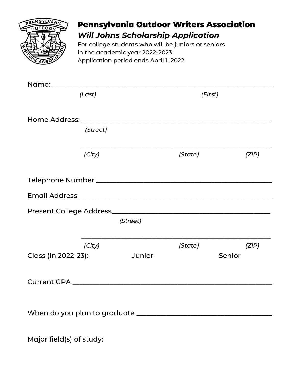

## Pennsylvania Outdoor Writers Association *Will Johns Scholarship Application*

For college students who will be juniors or seniors in the academic year 2022-2023 Application period ends April 1, 2022

| (Last)              |          | (First)  |         |       |
|---------------------|----------|----------|---------|-------|
|                     |          |          |         |       |
|                     |          |          |         |       |
|                     | (Street) |          |         |       |
|                     | (City)   |          | (State) | (ZIP) |
|                     |          |          |         |       |
|                     |          |          |         |       |
|                     |          |          |         |       |
|                     |          | (Street) |         |       |
|                     | (City)   |          | (State) | (ZIP) |
| Class (in 2022-23): |          | Junior   | Senior  |       |
|                     |          |          |         |       |
|                     |          |          |         |       |
|                     |          |          |         |       |
|                     |          |          |         |       |

Major field(s) of study: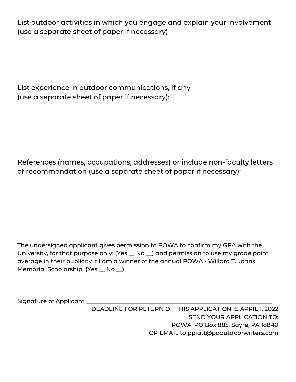List outdoor activities in which you engage and explain your involvement (use a separate sheet of paper if necessary)

List experience in outdoor communications, if any (use a separate sheet of paper if necessary):

References (names, occupations, addresses) or include non-faculty letters of recommendation (use a separate sheet of paper if necessary):

The undersigned applicant gives permission to POWA to confirm my GPA with the University, for that purpose only: (Yes \_ No \_) and permission to use my grade point average in their publicity if I am a winner of the annual POWA - Willard T. Johns Memorial Scholarship. (Yes \_ No \_)

Signature of Applicant \_\_\_\_\_

DEADLINE FOR RETURN OF THIS APPLICATION IS APRIL 1, 2022 SEND YOUR APPLICATION TO: POWA, PO Box 885, Sayre, PA 18840 OR EMAIL to ppiatt@paoutdoorwriters.com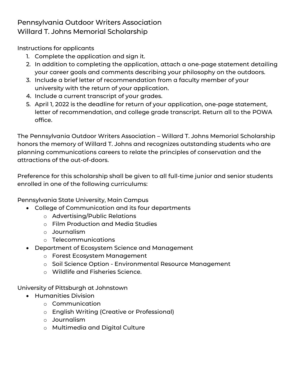## Pennsylvania Outdoor Writers Association Willard T. Johns Memorial Scholarship

Instructions for applicants

- 1. Complete the application and sign it.
- 2. In addition to completing the application, attach a one-page statement detailing your career goals and comments describing your philosophy on the outdoors.
- 3. Include a brief letter of recommendation from a faculty member of your university with the return of your application.
- 4. Include a current transcript of your grades.
- 5. April 1, 2022 is the deadline for return of your application, one-page statement, letter of recommendation, and college grade transcript. Return all to the POWA office.

The Pennsylvania Outdoor Writers Association – Willard T. Johns Memorial Scholarship honors the memory of Willard T. Johns and recognizes outstanding students who are planning communications careers to relate the principles of conservation and the attractions of the out-of-doors.

Preference for this scholarship shall be given to all full-time junior and senior students enrolled in one of the following curriculums:

Pennsylvania State University, Main Campus

- College of Communication and its four departments
	- o Advertising/Public Relations
	- o Film Production and Media Studies
	- o Journalism
	- o Telecommunications
- Department of Ecosystem Science and Management
	- o Forest Ecosystem Management
	- o Soil Science Option Environmental Resource Management
	- o Wildlife and Fisheries Science.

University of Pittsburgh at Johnstown

- **•** Humanities Division
	- o Communication
	- o English Writing (Creative or Professional)
	- o Journalism
	- o Multimedia and Digital Culture